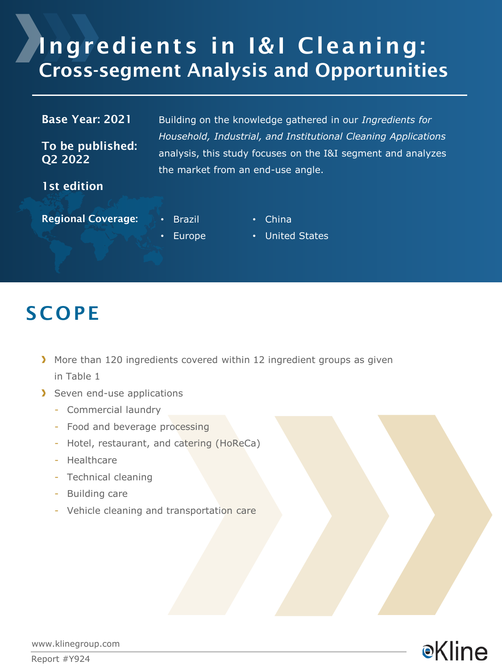# Ingredients in I&I Cleaning: Cross-segment Analysis and Opportunities

| <b>Base Year: 2021</b>      | Building on the knowledge gathered in our Ingredients for                                                                                                           |  |
|-----------------------------|---------------------------------------------------------------------------------------------------------------------------------------------------------------------|--|
| To be published:<br>Q2 2022 | Household, Industrial, and Institutional Cleaning Applications<br>analysis, this study focuses on the I&I segment and analyzes<br>the market from an end-use angle. |  |
| 1st edition                 |                                                                                                                                                                     |  |
| <b>Regional Coverage:</b>   | Brazil<br>China<br>٠                                                                                                                                                |  |

**Europe** 

• China

• United States

### **SCOPE**

- More than 120 ingredients covered within 12 ingredient groups as given in Table 1
- Seven end-use applications
	- Commercial laundry
	- Food and beverage processing
	- Hotel, restaurant, and catering (HoReCa)
	- Healthcare
	- Technical cleaning
	- Building care
	- Vehicle cleaning and transportation care



www.klinegroup.com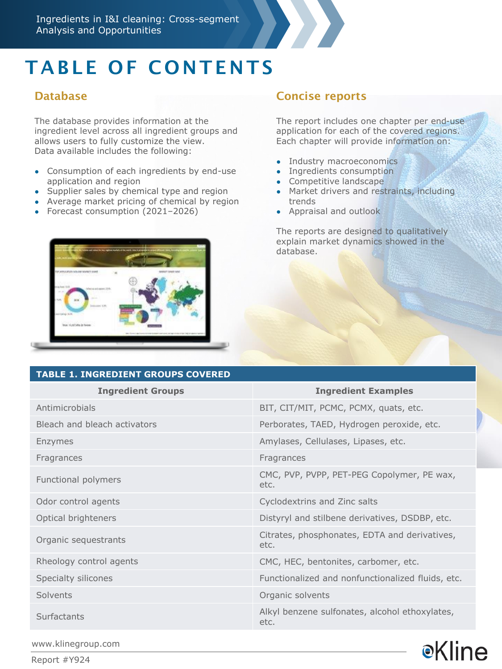

# TABLE OF CONTENTS

#### **Database**

The database provides information at the ingredient level across all ingredient groups and allows users to fully customize the view. Data available includes the following:

- Consumption of each ingredients by end-use application and region
- Supplier sales by chemical type and region
- Average market pricing of chemical by region
- Forecast consumption (2021-2026)



#### **TABLE 1. INGREDIENT GROUPS COVERED**

#### Concise reports

The report includes one chapter per end-use application for each of the covered regions. Each chapter will provide information on:

- Industry macroeconomics
- Ingredients consumption
- Competitive landscape
- Market drivers and restraints, including trends
- Appraisal and outlook

The reports are designed to qualitatively explain market dynamics showed in the database.

| TABLE 1. INGREDIENT GROUPS COVERED |                                                        |  |
|------------------------------------|--------------------------------------------------------|--|
| <b>Ingredient Groups</b>           | <b>Ingredient Examples</b>                             |  |
| Antimicrobials                     | BIT, CIT/MIT, PCMC, PCMX, quats, etc.                  |  |
| Bleach and bleach activators       | Perborates, TAED, Hydrogen peroxide, etc.              |  |
| Enzymes                            | Amylases, Cellulases, Lipases, etc.                    |  |
| Fragrances                         | Fragrances                                             |  |
| Functional polymers                | CMC, PVP, PVPP, PET-PEG Copolymer, PE wax,<br>etc.     |  |
| Odor control agents                | Cyclodextrins and Zinc salts                           |  |
| Optical brighteners                | Distyryl and stilbene derivatives, DSDBP, etc.         |  |
| Organic sequestrants               | Citrates, phosphonates, EDTA and derivatives,<br>etc.  |  |
| Rheology control agents            | CMC, HEC, bentonites, carbomer, etc.                   |  |
| Specialty silicones                | Functionalized and nonfunctionalized fluids, etc.      |  |
| Solvents                           | Organic solvents                                       |  |
| Surfactants                        | Alkyl benzene sulfonates, alcohol ethoxylates,<br>etc. |  |
|                                    |                                                        |  |

**e**Kline

www.klinegroup.com

Report #Y924